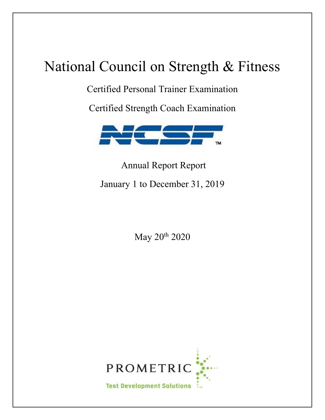# National Council on Strength & Fitness

Certified Personal Trainer Examination

Certified Strength Coach Examination



Annual Report Report January 1 to December 31, 2019

May 20<sup>th</sup> 2020

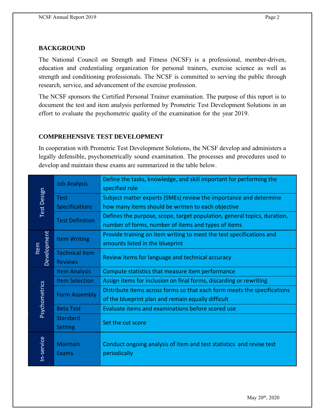### **BACKGROUND**

The National Council on Strength and Fitness (NCSF) is a professional, member-driven, education and credentialing organization for personal trainers, exercise science as well as strength and conditioning professionals. The NCSF is committed to serving the public through research, service, and advancement of the exercise profession.

The NCSF sponsors the Certified Personal Trainer examination. The purpose of this report is to document the test and item analysis performed by Prometric Test Development Solutions in an effort to evaluate the psychometric quality of the examination for the year 2019.

### **COMPREHENSIVE TEST DEVELOPMENT**

In cooperation with Prometric Test Development Solutions, the NCSF develop and administers a legally defensible, psychometrically sound examination. The processes and procedures used to develop and maintain these exams are summarized in the table below.

| Test Design   |                        | Define the tasks, knowledge, and skill important for performing the      |  |  |  |  |
|---------------|------------------------|--------------------------------------------------------------------------|--|--|--|--|
|               | <b>Job Analysis</b>    | specified role                                                           |  |  |  |  |
|               | <b>Test</b>            | Subject matter experts (SMEs) review the importance and determine        |  |  |  |  |
|               | <b>Specifications</b>  | how many items should be written to each objective                       |  |  |  |  |
|               |                        | Defines the purpose, scope, target population, general topics, duration, |  |  |  |  |
|               | <b>Test Definition</b> | number of forms, number of items and types of items                      |  |  |  |  |
|               |                        | Provide training on item writing to meet the test specifications and     |  |  |  |  |
| Development   | <b>Item Writing</b>    | amounts listed in the blueprint                                          |  |  |  |  |
| ltem          | <b>Technical Item</b>  | Review items for language and technical accuracy                         |  |  |  |  |
|               | <b>Reviews</b>         |                                                                          |  |  |  |  |
|               | <b>Item Analysis</b>   | Compute statistics that measure item performance                         |  |  |  |  |
|               | <b>Item Selection</b>  | Assign items for inclusion on final forms, discarding or rewriting       |  |  |  |  |
|               | <b>Form Assembly</b>   | Distribute items across forms so that each form meets the specifications |  |  |  |  |
|               |                        | of the blueprint plan and remain equally difficult                       |  |  |  |  |
| Psychometrics | <b>Beta Test</b>       | Evaluate items and examinations before scored use                        |  |  |  |  |
|               | Standard               |                                                                          |  |  |  |  |
|               | <b>Setting</b>         | Set the cut score                                                        |  |  |  |  |
|               |                        |                                                                          |  |  |  |  |
|               | Maintain               | Conduct ongoing analysis of item and test statistics and revise test     |  |  |  |  |
| In-service    | Exams                  | periodically                                                             |  |  |  |  |
|               |                        |                                                                          |  |  |  |  |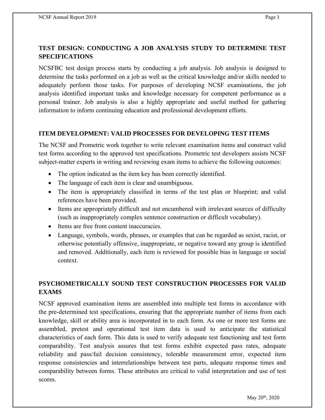# **TEST DESIGN: CONDUCTING A JOB ANALYSIS STUDY TO DETERMINE TEST SPECIFICATIONS**

NCSFBC test design process starts by conducting a job analysis. Job analysis is designed to determine the tasks performed on a job as well as the critical knowledge and/or skills needed to adequately perform those tasks. For purposes of developing NCSF examinations, the job analysis identified important tasks and knowledge necessary for competent performance as a personal trainer. Job analysis is also a highly appropriate and useful method for gathering information to inform continuing education and professional development efforts.

### **ITEM DEVELOPMENT: VALID PROCESSES FOR DEVELOPING TEST ITEMS**

The NCSF and Prometric work together to write relevant examination items and construct valid test forms according to the approved test specifications. Prometric test developers assists NCSF subject-matter experts in writing and reviewing exam items to achieve the following outcomes:

- The option indicated as the item key has been correctly identified.
- The language of each item is clear and unambiguous.
- The item is appropriately classified in terms of the test plan or blueprint; and valid references have been provided.
- Items are appropriately difficult and not encumbered with irrelevant sources of difficulty (such as inappropriately complex sentence construction or difficult vocabulary).
- Items are free from content inaccuracies.
- Language, symbols, words, phrases, or examples that can be regarded as sexist, racist, or otherwise potentially offensive, inappropriate, or negative toward any group is identified and removed. Additionally, each item is reviewed for possible bias in language or social context.

# **PSYCHOMETRICALLY SOUND TEST CONSTRUCTION PROCESSES FOR VALID EXAMS**

NCSF approved examination items are assembled into multiple test forms in accordance with the pre-determined test specifications, ensuring that the appropriate number of items from each knowledge, skill or ability area is incorporated in to each form. As one or more test forms are assembled, pretest and operational test item data is used to anticipate the statistical characteristics of each form. This data is used to verify adequate test functioning and test form comparability. Test analysis assures that test forms exhibit expected pass rates, adequate reliability and pass/fail decision consistency, tolerable measurement error, expected item response consistencies and interrelationships between test parts, adequate response times and comparability between forms. These attributes are critical to valid interpretation and use of test scores.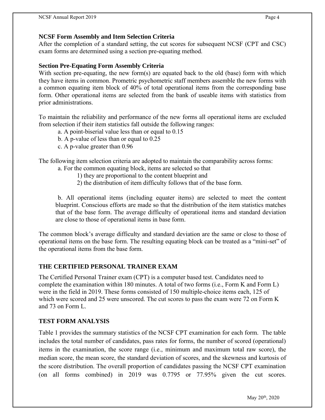### **NCSF Form Assembly and Item Selection Criteria**

After the completion of a standard setting, the cut scores for subsequent NCSF (CPT and CSC) exam forms are determined using a section pre-equating method.

### **Section Pre-Equating Form Assembly Criteria**

With section pre-equating, the new form(s) are equated back to the old (base) form with which they have items in common. Prometric psychometric staff members assemble the new forms with a common equating item block of 40% of total operational items from the corresponding base form. Other operational items are selected from the bank of useable items with statistics from prior administrations.

To maintain the reliability and performance of the new forms all operational items are excluded from selection if their item statistics fall outside the following ranges:

- a. A point-biserial value less than or equal to 0.15
- b. A p-value of less than or equal to 0.25
- c. A p-value greater than 0.96

The following item selection criteria are adopted to maintain the comparability across forms:

- a. For the common equating block, items are selected so that
	- 1) they are proportional to the content blueprint and
	- 2) the distribution of item difficulty follows that of the base form.

b. All operational items (including equater items) are selected to meet the content blueprint. Conscious efforts are made so that the distribution of the item statistics matches that of the base form. The average difficulty of operational items and standard deviation are close to those of operational items in base form.

The common block's average difficulty and standard deviation are the same or close to those of operational items on the base form. The resulting equating block can be treated as a "mini-set" of the operational items from the base form.

# **THE CERTIFIED PERSONAL TRAINER EXAM**

The Certified Personal Trainer exam (CPT) is a computer based test. Candidates need to complete the examination within 180 minutes. A total of two forms (i.e., Form K and Form L) were in the field in 2019. These forms consisted of 150 multiple-choice items each, 125 of which were scored and 25 were unscored. The cut scores to pass the exam were 72 on Form K and 73 on Form L.

# **TEST FORM ANALYSIS**

Table 1 provides the summary statistics of the NCSF CPT examination for each form. The table includes the total number of candidates, pass rates for forms, the number of scored (operational) items in the examination, the score range (i.e., minimum and maximum total raw score), the median score, the mean score, the standard deviation of scores, and the skewness and kurtosis of the score distribution. The overall proportion of candidates passing the NCSF CPT examination (on all forms combined) in 2019 was 0.7795 or 77.95% given the cut scores.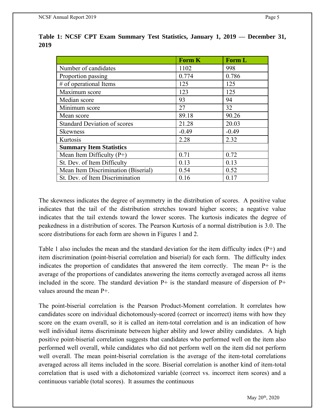|                                     | <b>Form K</b> | <b>Form L</b> |
|-------------------------------------|---------------|---------------|
| Number of candidates                | 1102          | 998           |
| Proportion passing                  | 0.774         | 0.786         |
| # of operational Items              | 125           | 125           |
| Maximum score                       | 123           | 125           |
| Median score                        | 93            | 94            |
| Minimum score                       | 27            | 32            |
| Mean score                          | 89.18         | 90.26         |
| <b>Standard Deviation of scores</b> | 21.28         | 20.03         |
| <b>Skewness</b>                     | $-0.49$       | $-0.49$       |
| Kurtosis                            | 2.28          | 2.32          |
| <b>Summary Item Statistics</b>      |               |               |
| Mean Item Difficulty $(P+)$         | 0.71          | 0.72          |
| St. Dev. of Item Difficulty         | 0.13          | 0.13          |
| Mean Item Discrimination (Biserial) | 0.54          | 0.52          |
| St. Dev. of Item Discrimination     | 0.16          | 0.17          |

**Table 1: NCSF CPT Exam Summary Test Statistics, January 1, 2019 — December 31, 2019**

The skewness indicates the degree of asymmetry in the distribution of scores. A positive value indicates that the tail of the distribution stretches toward higher scores; a negative value indicates that the tail extends toward the lower scores. The kurtosis indicates the degree of peakedness in a distribution of scores. The Pearson Kurtosis of a normal distribution is 3.0. The score distributions for each form are shown in Figures 1 and 2.

Table 1 also includes the mean and the standard deviation for the item difficulty index (P+) and item discrimination (point-biserial correlation and biserial) for each form. The difficulty index indicates the proportion of candidates that answered the item correctly. The mean P+ is the average of the proportions of candidates answering the items correctly averaged across all items included in the score. The standard deviation  $P+$  is the standard measure of dispersion of  $P+$ values around the mean P+.

The point-biserial correlation is the Pearson Product-Moment correlation. It correlates how candidates score on individual dichotomously-scored (correct or incorrect) items with how they score on the exam overall, so it is called an item-total correlation and is an indication of how well individual items discriminate between higher ability and lower ability candidates. A high positive point-biserial correlation suggests that candidates who performed well on the item also performed well overall, while candidates who did not perform well on the item did not perform well overall. The mean point-biserial correlation is the average of the item-total correlations averaged across all items included in the score. Biserial correlation is another kind of item-total correlation that is used with a dichotomized variable (correct vs. incorrect item scores) and a continuous variable (total scores). It assumes the continuous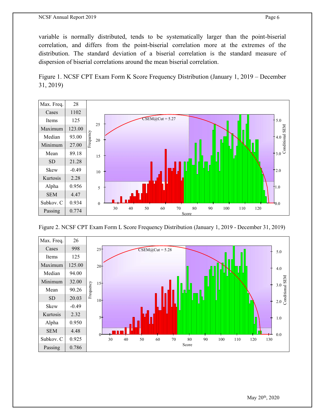#### NCSF Annual Report 2019 Page 6

variable is normally distributed, tends to be systematically larger than the point-biserial correlation, and differs from the point-biserial correlation more at the extremes of the distribution. The standard deviation of a biserial correlation is the standard measure of dispersion of biserial correlations around the mean biserial correlation.

Figure 1. NCSF CPT Exam Form K Score Frequency Distribution (January 1, 2019 – December 31, 2019)



Figure 2. NCSF CPT Exam Form L Score Frequency Distribution (January 1, 2019 - December 31, 2019)

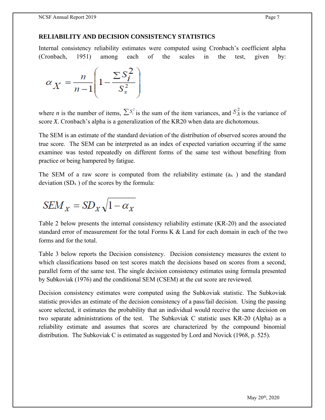### **RELIABILITY AND DECISION CONSISTENCY STATISTICS**

Internal consistency reliability estimates were computed using Cronbach's coefficient alpha (Cronbach, 1951) among each of the scales in the test, given by:

$$
\alpha_X = \frac{n}{n-1} \left( 1 - \frac{\sum S_i^2}{S_x^2} \right)
$$

where *n* is the number of items,  $\sum S_i^2$  is the sum of the item variances, and  $S_x^2$  is the variance of score *X.* Cronbach's alpha is a generalization of the KR20 when data are dichotomous.

The SEM is an estimate of the standard deviation of the distribution of observed scores around the true score. The SEM can be interpreted as an index of expected variation occurring if the same examinee was tested repeatedly on different forms of the same test without benefiting from practice or being hampered by fatigue.

The SEM of a raw score is computed from the reliability estimate  $(a_x)$  and the standard deviation  $(SD_x)$  of the scores by the formula:

$$
SEM_X = SD_X \sqrt{1 - \alpha_X}
$$

Table 2 below presents the internal consistency reliability estimate (KR-20) and the associated standard error of measurement for the total Forms K & Land for each domain in each of the two forms and for the total.

Table 3 below reports the Decision consistency. Decision consistency measures the extent to which classifications based on test scores match the decisions based on scores from a second, parallel form of the same test. The single decision consistency estimates using formula presented by Subkoviak (1976) and the conditional SEM (CSEM) at the cut score are reviewed.

Decision consistency estimates were computed using the Subkoviak statistic. The Subkoviak statistic provides an estimate of the decision consistency of a pass/fail decision. Using the passing score selected, it estimates the probability that an individual would receive the same decision on two separate administrations of the test. The Subkoviak C statistic uses KR-20 (Alpha) as a reliability estimate and assumes that scores are characterized by the compound binomial distribution. The Subkoviak C is estimated as suggested by Lord and Novick (1968, p. 525).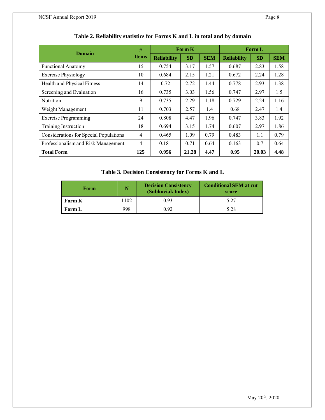| Domain                                        | #              | <b>Form K</b>      |           |            | <b>Form L</b>      |           |            |
|-----------------------------------------------|----------------|--------------------|-----------|------------|--------------------|-----------|------------|
|                                               | <b>Items</b>   | <b>Reliability</b> | <b>SD</b> | <b>SEM</b> | <b>Reliability</b> | <b>SD</b> | <b>SEM</b> |
| <b>Functional Anatomy</b>                     | 15             | 0.754              | 3.17      | 1.57       | 0.687              | 2.83      | 1.58       |
| <b>Exercise Physiology</b>                    | 10             | 0.684              | 2.15      | 1.21       | 0.672              | 2.24      | 1.28       |
| Health and Physical Fitness                   | 14             | 0.72               | 2.72      | 1.44       | 0.778              | 2.93      | 1.38       |
| Screening and Evaluation                      | 16             | 0.735              | 3.03      | 1.56       | 0.747              | 2.97      | 1.5        |
| <b>Nutrition</b>                              | 9              | 0.735              | 2.29      | 1.18       | 0.729              | 2.24      | 1.16       |
| Weight Management                             | 11             | 0.703              | 2.57      | 1.4        | 0.68               | 2.47      | 1.4        |
| <b>Exercise Programming</b>                   | 24             | 0.808              | 4.47      | 1.96       | 0.747              | 3.83      | 1.92       |
| Training Instruction                          | 18             | 0.694              | 3.15      | 1.74       | 0.607              | 2.97      | 1.86       |
| <b>Considerations for Special Populations</b> | $\overline{4}$ | 0.465              | 1.09      | 0.79       | 0.483              | 1.1       | 0.79       |
| Professionalism and Risk Management           | 4              | 0.181              | 0.71      | 0.64       | 0.163              | 0.7       | 0.64       |
| <b>Total Form</b>                             | 125            | 0.956              | 21.28     | 4.47       | 0.95               | 20.03     | 4.48       |

### **Table 2. Reliability statistics for Forms K and L in total and by domain**

### **Table 3. Decision Consistency for Forms K and L**

| Form          |      | <b>Decision Consistency</b><br>(Subkoviak Index) | <b>Conditional SEM at cut</b><br>score |  |  |
|---------------|------|--------------------------------------------------|----------------------------------------|--|--|
| <b>Form K</b> | 1102 | 0.93                                             | 5.27                                   |  |  |
| Form L        | 998  | 0.92                                             | 5.28                                   |  |  |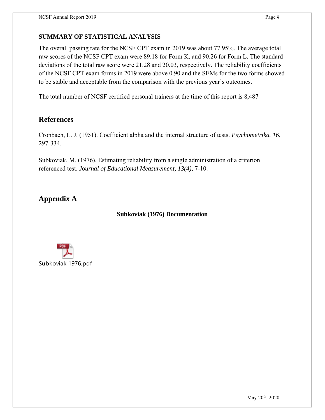# **SUMMARY OF STATISTICAL ANALYSIS**

The overall passing rate for the NCSF CPT exam in 2019 was about 77.95%. The average total raw scores of the NCSF CPT exam were 89.18 for Form K, and 90.26 for Form L. The standard deviations of the total raw score were 21.28 and 20.03, respectively. The reliability coefficients of the NCSF CPT exam forms in 2019 were above 0.90 and the SEMs for the two forms showed to be stable and acceptable from the comparison with the previous year's outcomes.

The total number of NCSF certified personal trainers at the time of this report is 8,487

# **References**

Cronbach, L. J. (1951). Coefficient alpha and the internal structure of tests. *Psychometrika. 16*, 297-334.

Subkoviak, M. (1976). Estimating reliability from a single administration of a criterion referenced test. *Journal of Educational Measurement, 13(4)*, 7-10.

**Appendix A**

### **Subkoviak (1976) Documentation**



May 20<sup>th</sup>, 2020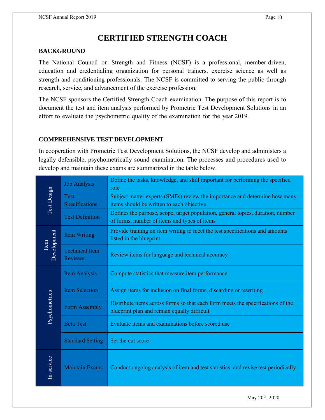# **CERTIFIED STRENGTH COACH**

### **BACKGROUND**

The National Council on Strength and Fitness (NCSF) is a professional, member-driven, education and credentialing organization for personal trainers, exercise science as well as strength and conditioning professionals. The NCSF is committed to serving the public through research, service, and advancement of the exercise profession.

The NCSF sponsors the Certified Strength Coach examination. The purpose of this report is to document the test and item analysis performed by Prometric Test Development Solutions in an effort to evaluate the psychometric quality of the examination for the year 2019.

### **COMPREHENSIVE TEST DEVELOPMENT**

In cooperation with Prometric Test Development Solutions, the NCSF develop and administers a legally defensible, psychometrically sound examination. The processes and procedures used to develop and maintain these exams are summarized in the table below.

|                     | <b>Job Analysis</b>                     | Define the tasks, knowledge, and skill important for performing the specified<br>role                                           |
|---------------------|-----------------------------------------|---------------------------------------------------------------------------------------------------------------------------------|
| Test Design         | <b>Test</b><br>Specifications           | Subject matter experts (SMEs) review the importance and determine how many<br>items should be written to each objective         |
|                     | <b>Test Definition</b>                  | Defines the purpose, scope, target population, general topics, duration, number<br>of forms, number of items and types of items |
|                     | Item Writing                            | Provide training on item writing to meet the test specifications and amounts<br>listed in the blueprint                         |
| Development<br>Item | <b>Technical Item</b><br><b>Reviews</b> | Review items for language and technical accuracy                                                                                |
|                     | <b>Item Analysis</b>                    | Compute statistics that measure item performance                                                                                |
|                     | <b>Item Selection</b>                   | Assign items for inclusion on final forms, discarding or rewriting                                                              |
| Psychometrics       | Form Assembly                           | Distribute items across forms so that each form meets the specifications of the<br>blueprint plan and remain equally difficult  |
|                     | <b>Beta Test</b>                        | Evaluate items and examinations before scored use                                                                               |
|                     | <b>Standard Setting</b>                 | Set the cut score                                                                                                               |
| In-service          | <b>Maintain Exams</b>                   | Conduct ongoing analysis of item and test statistics and revise test periodically                                               |

May 20<sup>th</sup>, 2020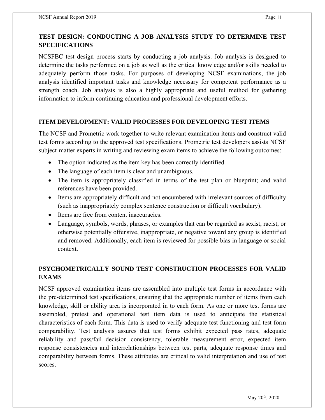## **TEST DESIGN: CONDUCTING A JOB ANALYSIS STUDY TO DETERMINE TEST SPECIFICATIONS**

NCSFBC test design process starts by conducting a job analysis. Job analysis is designed to determine the tasks performed on a job as well as the critical knowledge and/or skills needed to adequately perform those tasks. For purposes of developing NCSF examinations, the job analysis identified important tasks and knowledge necessary for competent performance as a strength coach. Job analysis is also a highly appropriate and useful method for gathering information to inform continuing education and professional development efforts.

### **ITEM DEVELOPMENT: VALID PROCESSES FOR DEVELOPING TEST ITEMS**

The NCSF and Prometric work together to write relevant examination items and construct valid test forms according to the approved test specifications. Prometric test developers assists NCSF subject-matter experts in writing and reviewing exam items to achieve the following outcomes:

- The option indicated as the item key has been correctly identified.
- The language of each item is clear and unambiguous.
- The item is appropriately classified in terms of the test plan or blueprint; and valid references have been provided.
- Items are appropriately difficult and not encumbered with irrelevant sources of difficulty (such as inappropriately complex sentence construction or difficult vocabulary).
- Items are free from content inaccuracies.
- Language, symbols, words, phrases, or examples that can be regarded as sexist, racist, or otherwise potentially offensive, inappropriate, or negative toward any group is identified and removed. Additionally, each item is reviewed for possible bias in language or social context.

# **PSYCHOMETRICALLY SOUND TEST CONSTRUCTION PROCESSES FOR VALID EXAMS**

NCSF approved examination items are assembled into multiple test forms in accordance with the pre-determined test specifications, ensuring that the appropriate number of items from each knowledge, skill or ability area is incorporated in to each form. As one or more test forms are assembled, pretest and operational test item data is used to anticipate the statistical characteristics of each form. This data is used to verify adequate test functioning and test form comparability. Test analysis assures that test forms exhibit expected pass rates, adequate reliability and pass/fail decision consistency, tolerable measurement error, expected item response consistencies and interrelationships between test parts, adequate response times and comparability between forms. These attributes are critical to valid interpretation and use of test scores.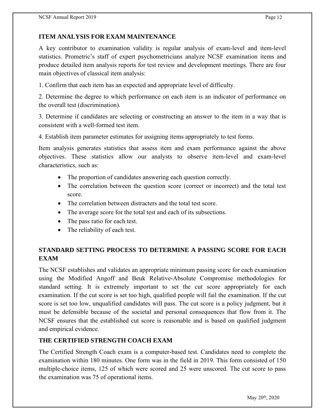# **ITEM ANALYSIS FOR EXAM MAINTENANCE**

A key contributor to examination validity is regular analysis of exam-level and item-level statistics. Prometric's staff of expert psychometricians analyze NCSF examination items and produce detailed item analysis reports for test review and development meetings. There are four main objectives of classical item analysis:

1. Confirm that each item has an expected and appropriate level of difficulty.

2. Determine the degree to which performance on each item is an indicator of performance on the overall test (discrimination).

3. Determine if candidates are selecting or constructing an answer to the item in a way that is consistent with a well-formed test item.

4. Establish item parameter estimates for assigning items appropriately to test forms.

Item analysis generates statistics that assess item and exam performance against the above objectives. These statistics allow our analysts to observe item-level and exam-level characteristics, such as:

- The proportion of candidates answering each question correctly.
- The correlation between the question score (correct or incorrect) and the total test score.
- The correlation between distracters and the total test score.
- The average score for the total test and each of its subsections.
- The pass ratio for each test.
- The reliability of each test.

# **STANDARD SETTING PROCESS TO DETERMINE A PASSING SCORE FOR EACH EXAM**

The NCSF establishes and validates an appropriate minimum passing score for each examination using the Modified Angoff and Beuk Relative-Absolute Compromise methodologies for standard setting. It is extremely important to set the cut score appropriately for each examination. If the cut score is set too high, qualified people will fail the examination. If the cut score is set too low, unqualified candidates will pass. The cut score is a policy judgment, but it must be defensible because of the societal and personal consequences that flow from it. The NCSF ensures that the established cut score is reasonable and is based on qualified judgment and empirical evidence.

# **THE CERTIFIED STRENGTH COACH EXAM**

The Certified Strength Coach exam is a computer-based test. Candidates need to complete the examination within 180 minutes. One form was in the field in 2019. This form consisted of 150 multiple-choice items, 125 of which were scored and 25 were unscored. The cut score to pass the examination was 75 of operational items.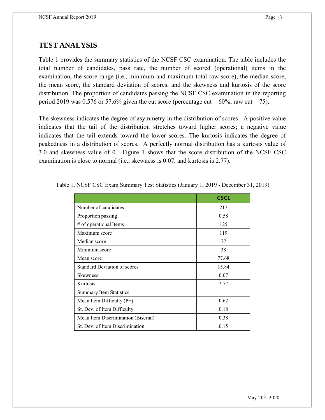# **TEST ANALYSIS**

Table 1 provides the summary statistics of the NCSF CSC examination. The table includes the total number of candidates, pass rate, the number of scored (operational) items in the examination, the score range (i.e., minimum and maximum total raw score), the median score, the mean score, the standard deviation of scores, and the skewness and kurtosis of the score distribution. The proportion of candidates passing the NCSF CSC examination in the reporting period 2019 was 0.576 or 57.6% given the cut score (percentage cut =  $60\%$ ; raw cut = 75).

The skewness indicates the degree of asymmetry in the distribution of scores. A positive value indicates that the tail of the distribution stretches toward higher scores; a negative value indicates that the tail extends toward the lower scores. The kurtosis indicates the degree of peakedness in a distribution of scores. A perfectly normal distribution has a kurtosis value of 3.0 and skewness value of 0. Figure 1 shows that the score distribution of the NCSF CSC examination is close to normal (i.e., skewness is 0.07, and kurtosis is 2.77).

|                                     | <b>CSC1</b> |
|-------------------------------------|-------------|
| Number of candidates                | 217         |
| Proportion passing                  | 0.58        |
| # of operational Items              | 125         |
| Maximum score                       | 119         |
| Median score                        | 77          |
| Minimum score                       | 38          |
| Mean score                          | 77.68       |
| <b>Standard Deviation of scores</b> | 15.84       |
| <b>Skewness</b>                     | 0.07        |
| Kurtosis                            | 2.77        |
| <b>Summary Item Statistics</b>      |             |
| Mean Item Difficulty $(P+)$         | 0.62        |
| St. Dev. of Item Difficulty         | 0.18        |
| Mean Item Discrimination (Biserial) | 0.38        |
| St. Dev. of Item Discrimination     | 0.15        |

Table 1. NCSF CSC Exam Summary Test Statistics (January 1, 2019 - December 31, 2019)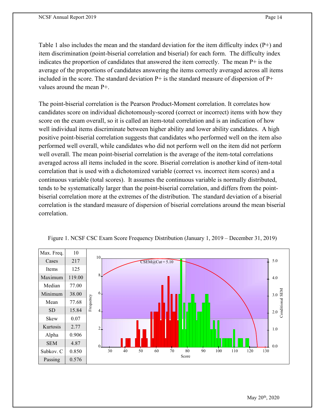Table 1 also includes the mean and the standard deviation for the item difficulty index (P+) and item discrimination (point-biserial correlation and biserial) for each form. The difficulty index indicates the proportion of candidates that answered the item correctly. The mean P+ is the average of the proportions of candidates answering the items correctly averaged across all items included in the score. The standard deviation  $P+$  is the standard measure of dispersion of  $P+$ values around the mean P+.

The point-biserial correlation is the Pearson Product-Moment correlation. It correlates how candidates score on individual dichotomously-scored (correct or incorrect) items with how they score on the exam overall, so it is called an item-total correlation and is an indication of how well individual items discriminate between higher ability and lower ability candidates. A high positive point-biserial correlation suggests that candidates who performed well on the item also performed well overall, while candidates who did not perform well on the item did not perform well overall. The mean point-biserial correlation is the average of the item-total correlations averaged across all items included in the score. Biserial correlation is another kind of item-total correlation that is used with a dichotomized variable (correct vs. incorrect item scores) and a continuous variable (total scores). It assumes the continuous variable is normally distributed, tends to be systematically larger than the point-biserial correlation, and differs from the pointbiserial correlation more at the extremes of the distribution. The standard deviation of a biserial correlation is the standard measure of dispersion of biserial correlations around the mean biserial correlation.



Figure 1. NCSF CSC Exam Score Frequency Distribution (January 1, 2019 – December 31, 2019)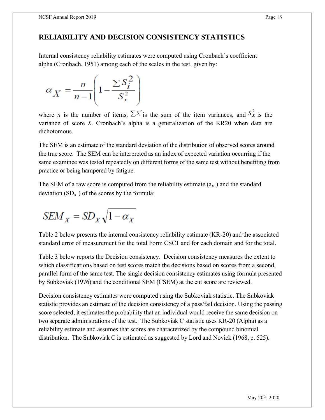# **RELIABILITY AND DECISION CONSISTENCY STATISTICS**

Internal consistency reliability estimates were computed using Cronbach's coefficient alpha (Cronbach, 1951) among each of the scales in the test, given by:

$$
\alpha_X = \frac{n}{n-1} \left( 1 - \frac{\sum S_i^2}{S_x^2} \right)
$$

where *n* is the number of items,  $\sum S_i^2$  is the sum of the item variances, and  $S_X^2$  is the variance of score *X.* Cronbach's alpha is a generalization of the KR20 when data are dichotomous.

The SEM is an estimate of the standard deviation of the distribution of observed scores around the true score. The SEM can be interpreted as an index of expected variation occurring if the same examinee was tested repeatedly on different forms of the same test without benefiting from practice or being hampered by fatigue.

The SEM of a raw score is computed from the reliability estimate  $(a_x)$  and the standard deviation  $(SD_x)$  of the scores by the formula:

$$
SEM_X = SD_X \sqrt{1 - \alpha_X}
$$

Table 2 below presents the internal consistency reliability estimate (KR-20) and the associated standard error of measurement for the total Form CSC1 and for each domain and for the total.

Table 3 below reports the Decision consistency. Decision consistency measures the extent to which classifications based on test scores match the decisions based on scores from a second, parallel form of the same test. The single decision consistency estimates using formula presented by Subkoviak (1976) and the conditional SEM (CSEM) at the cut score are reviewed.

Decision consistency estimates were computed using the Subkoviak statistic. The Subkoviak statistic provides an estimate of the decision consistency of a pass/fail decision. Using the passing score selected, it estimates the probability that an individual would receive the same decision on two separate administrations of the test. The Subkoviak C statistic uses KR-20 (Alpha) as a reliability estimate and assumes that scores are characterized by the compound binomial distribution. The Subkoviak C is estimated as suggested by Lord and Novick (1968, p. 525).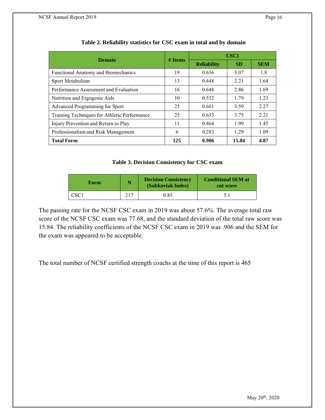| Domain                                       | $#$ Items | CSC <sub>1</sub>   |       |            |  |
|----------------------------------------------|-----------|--------------------|-------|------------|--|
|                                              |           | <b>Reliability</b> | SD    | <b>SEM</b> |  |
| Functional Anatomy and Biomechanics          | 19        | 0.656              | 3.07  | 1.8        |  |
| Sport Metabolism                             | 13        | 0.448              | 2.21  | 1.64       |  |
| Performance Assessment and Evaluation        | 16        | 0.648              | 2.86  | 1.69       |  |
| Nutrition and Ergogenic Aids                 | 10        | 0.532              | 1.79  | 1.23       |  |
| Advanced Programming for Sport               | 25        | 0.601              | 3.59  | 2.27       |  |
| Training Techniques for Athletic Performance | 25        | 0.653              | 3.75  | 2.21       |  |
| Injury Prevention and Return to Play         | 11        | 0.464              | 1.99  | 1.45       |  |
| Professionalism and Risk Management          | 6         | 0.283              | 1.29  | 1.09       |  |
| <b>Total Form</b>                            | 125       | 0.906              | 15.84 | 4.87       |  |

### **Table 3. Decision Consistency for CSC exam**

| Form | <b>Decision Consistency</b><br>Ñ<br>(Subkoviak Index) |      | <b>Conditional SEM at</b><br>cut score |  |  |
|------|-------------------------------------------------------|------|----------------------------------------|--|--|
| CSC1 | 217                                                   | 0.85 |                                        |  |  |

The passing rate for the NCSF CSC exam in 2019 was about 57.6%. The average total raw score of the NCSF CSC exam was 77.68, and the standard deviation of the total raw score was 15.84. The reliability coefficients of the NCSF CSC exam in 2019 was .906 and the SEM for the exam was appeared to be acceptable.

The total number of NCSF certified strength coachs at the time of this report is 465